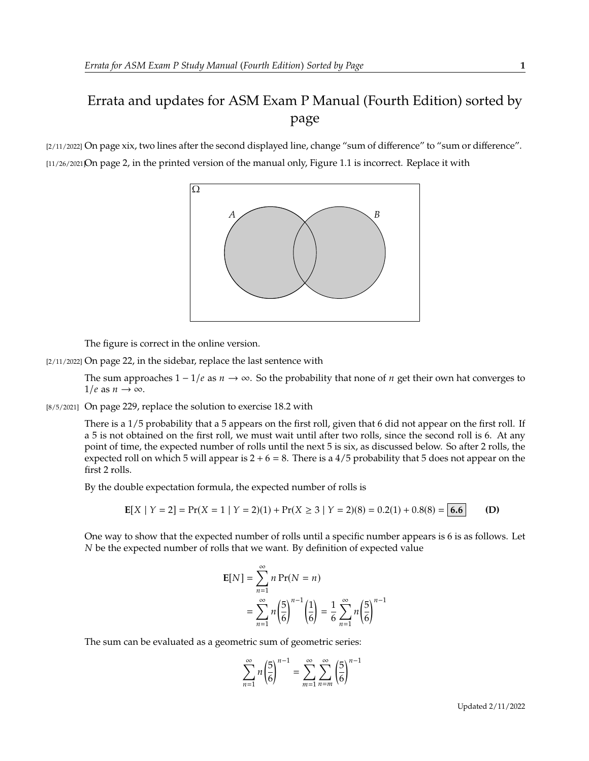## Errata and updates for ASM Exam P Manual (Fourth Edition) sorted by page

[2/11/2022] On page xix, two lines after the second displayed line, change "sum of difference" to "sum or difference". [11/26/2021]On page 2, in the printed version of the manual only, Figure 1.1 is incorrect. Replace it with



The figure is correct in the online version.

[2/11/2022] On page 22, in the sidebar, replace the last sentence with

The sum approaches  $1 - 1/e$  as  $n \to \infty$ . So the probability that none of *n* get their own hat converges to  $1/e$  as  $n \to \infty$ .

[8/5/2021] On page 229, replace the solution to exercise 18.2 with

There is a 1/5 probability that a 5 appears on the first roll, given that 6 did not appear on the first roll. If a 5 is not obtained on the first roll, we must wait until after two rolls, since the second roll is 6. At any point of time, the expected number of rolls until the next 5 is six, as discussed below. So after 2 rolls, the expected roll on which 5 will appear is  $2 + 6 = 8$ . There is a 4/5 probability that 5 does not appear on the first 2 rolls.

By the double expectation formula, the expected number of rolls is

$$
E[X \mid Y = 2] = Pr(X = 1 \mid Y = 2)(1) + Pr(X \ge 3 \mid Y = 2)(8) = 0.2(1) + 0.8(8) = 6.6
$$
 (D)

One way to show that the expected number of rolls until a specific number appears is 6 is as follows. Let  $N$  be the expected number of rolls that we want. By definition of expected value

$$
\mathbf{E}[N] = \sum_{n=1}^{\infty} n \Pr(N = n)
$$
  
= 
$$
\sum_{n=1}^{\infty} n \left(\frac{5}{6}\right)^{n-1} \left(\frac{1}{6}\right) = \frac{1}{6} \sum_{n=1}^{\infty} n \left(\frac{5}{6}\right)^{n-1}
$$

The sum can be evaluated as a geometric sum of geometric series:

$$
\sum_{n=1}^{\infty} n \left(\frac{5}{6}\right)^{n-1} = \sum_{m=1}^{\infty} \sum_{n=m}^{\infty} \left(\frac{5}{6}\right)^{n-1}
$$